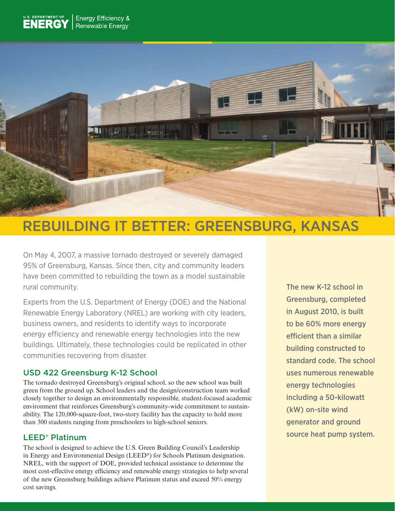

# REBUILDING IT BETTER: GREENSBURG, KANSAS

On May 4, 2007, a massive tornado destroyed or severely damaged 95% of Greensburg, Kansas. Since then, city and community leaders have been committed to rebuilding the town as a model sustainable rural community.

Experts from the U.S. Department of Energy (DOE) and the National Renewable Energy Laboratory (NREL) are working with city leaders, business owners, and residents to identify ways to incorporate energy efficiency and renewable energy technologies into the new buildings. Ultimately, these technologies could be replicated in other communities recovering from disaster.

## USD 422 Greensburg K-12 School

The tornado destroyed Greensburg's original school, so the new school was built green from the ground up. School leaders and the design/construction team worked closely together to design an environmentally responsible, student-focused academic environment that reinforces Greensburg's community-wide commitment to sustainability. The 120,000-square-foot, two-story facility has the capacity to hold more than 300 students ranging from preschoolers to high-school seniors.

## LEED® Platinum

The school is designed to achieve the U.S. Green Building Council's Leadership in Energy and Environmental Design (LEED®) for Schools Platinum designation. NREL, with the support of DOE, provided technical assistance to determine the most cost-effective energy efficiency and renewable energy strategies to help several of the new Greensburg buildings achieve Platinum status and exceed 50% energy cost savings.

The new K-12 school in Greensburg, completed in August 2010, is built to be 60% more energy efficient than a similar building constructed to standard code. The school uses numerous renewable energy technologies including a 50-kilowatt (kW) on-site wind generator and ground source heat pump system.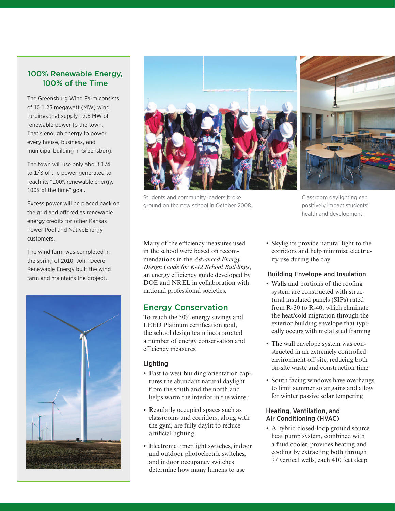### 100% Renewable Energy, 100% of the Time

The Greensburg Wind Farm consists of 10 1.25 megawatt (MW) wind turbines that supply 12.5 MW of renewable power to the town. That's enough energy to power every house, business, and municipal building in Greensburg.

The town will use only about 1/4 to 1/3 of the power generated to reach its "100% renewable energy, 100% of the time" goal.

Excess power will be placed back on the grid and offered as renewable energy credits for other Kansas Power Pool and NativeEnergy customers.

The wind farm was completed in the spring of 2010. John Deere Renewable Energy built the wind farm and maintains the project.





Students and community leaders broke ground on the new school in October 2008.

Many of the efficiency measures used in the school were based on recommendations in the *Advanced Energy Design Guide for K-12 School Buildings*, an energy efficiency guide developed by DOE and NREL in collaboration with national professional societies.

## Energy Conservation

To reach the 50% energy savings and LEED Platinum certification goal, the school design team incorporated a number of energy conservation and efficiency measures.

#### Lighting

- East to west building orientation captures the abundant natural daylight from the south and the north and helps warm the interior in the winter
- Regularly occupied spaces such as classrooms and corridors, along with the gym, are fully daylit to reduce artificial lighting
- Electronic timer light switches, indoor and outdoor photoelectric switches, and indoor occupancy switches determine how many lumens to use

health and development.

Classroom daylighting can positively impact students'

• Skylights provide natural light to the corridors and help minimize electricity use during the day

#### Building Envelope and Insulation

- Walls and portions of the roofing system are constructed with structural insulated panels (SIPs) rated from R-30 to R-40, which eliminate the heat/cold migration through the exterior building envelope that typically occurs with metal stud framing
- The wall envelope system was constructed in an extremely controlled environment off site, reducing both on-site waste and construction time
- South facing windows have overhangs to limit summer solar gains and allow for winter passive solar tempering

#### Heating, Ventilation, and Air Conditioning (HVAC)

• A hybrid closed-loop ground source heat pump system, combined with a fluid cooler, provides heating and cooling by extracting both through 97 vertical wells, each 410 feet deep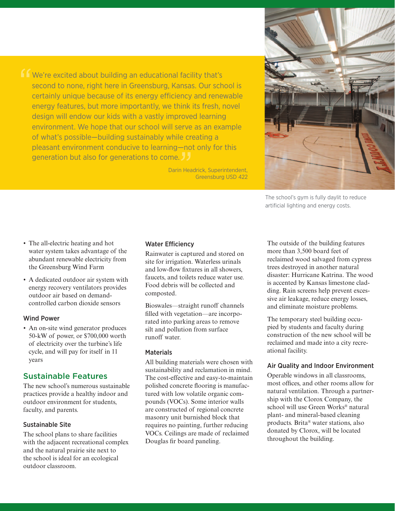'' — NOI<br>. **J J**<br>n Head We're excited about building an educational facility that's second to none, right here in Greensburg, Kansas. Our school is certainly unique because of its energy efficiency and renewable energy features, but more importantly, we think its fresh, novel design will endow our kids with a vastly improved learning environment. We hope that our school will serve as an example of what's possible—building sustainably while creating a pleasant environment conducive to learning—not only for this generation but also for generations to come.

Darin Headrick, Superintendent, Greensburg USD 422



The school's gym is fully daylit to reduce artificial lighting and energy costs.

- The all-electric heating and hot water system takes advantage of the abundant renewable electricity from the Greensburg Wind Farm
- • A dedicated outdoor air system with energy recovery ventilators provides outdoor air based on demandcontrolled carbon dioxide sensors

#### Wind Power

• An on-site wind generator produces 50-kW of power, or \$700,000 worth of electricity over the turbine's life cycle, and will pay for itself in 11 years

#### Sustainable Features

The new school's numerous sustainable practices provide a healthy indoor and outdoor environment for students, faculty, and parents.

#### Sustainable Site

The school plans to share facilities with the adjacent recreational complex and the natural prairie site next to the school is ideal for an ecological outdoor classroom.

#### Water Efficiency

Rainwater is captured and stored on site for irrigation. Waterless urinals and low-flow fixtures in all showers, faucets, and toilets reduce water use. Food debris will be collected and composted.

Bioswales—straight runoff channels filled with vegetation—are incorporated into parking areas to remove silt and pollution from surface runoff water.

#### **Materials**

All building materials were chosen with sustainability and reclamation in mind. The cost-effective and easy-to-maintain polished concrete flooring is manufactured with low volatile organic compounds (VOCs). Some interior walls are constructed of regional concrete masonry unit burnished block that requires no painting, further reducing VOCs. Ceilings are made of reclaimed Douglas fir board paneling.

The outside of the building features more than 3,500 board feet of reclaimed wood salvaged from cypress trees destroyed in another natural disaster: Hurricane Katrina. The wood is accented by Kansas limestone cladding. Rain screens help prevent excessive air leakage, reduce energy losses, and eliminate moisture problems.

The temporary steel building occupied by students and faculty during construction of the new school will be reclaimed and made into a city recreational facility.

#### Air Quality and Indoor Environment

Operable windows in all classrooms, most offices, and other rooms allow for natural ventilation. Through a partnership with the Clorox Company, the school will use Green Works® natural plant- and mineral-based cleaning products. Brita® water stations, also donated by Clorox, will be located throughout the building.